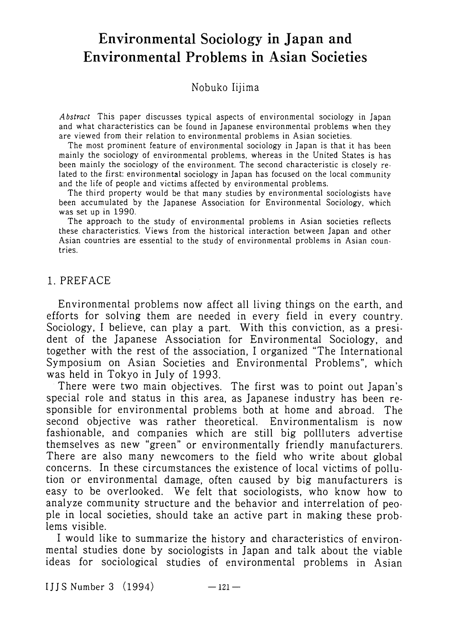# **Environmental Sociology in Japan and Environmental Problems in Asian Societies**

Nobuko Iijima

*A bstruct* This paper discusses typical aspects of environmental sociology in Japan and what characteristics can be found in Japanese environmental problems when they are viewed from their relation to environmental problems in Asian societies.

The most prominent feature of environmental sociology in Japan is that it has been mainly the sociology of environmental problems, whereas in the United States is has been mainly the sociology of the environment. The second characteristic is closely related to the first: environmental sociology in Japan has focused on the local community and the life of people and victims affected by environmental problems.

The third property would be that many studies by environmental sociologists have been accumulated by the Japanese Association for Environmental Sociology, which was set up in 1990.

The approach to the study of environmental problems in Asian societies reflects these characteristics. Views from the historical interaction between Japan and other Asian countries are essential to the study of environmental problems in Asian countries.

#### 1. PREFACE

Environmental problems now affect all living things on the earth, and efforts for solving them are needed in every field in every country. Sociology, I believe, can play a part. With this conviction, as a president of the Japanese Association for Environmental Sociology, and together with the rest of the association, I organized "The International Symposium on Asian Societies and Environmental Problems", which was held in Tokyo in July of 1993.

There were two main objectives. The first was to point out Japan's special role and status in this area, as Japanese industry has been responsible for environmental problems both at home and abroad. The second objective was rather theoretical. Environmentalism is now fashionable, and companies which are still big pollluters advertise themselves as new "green" or environmentally friendly manufacturers. There are also many newcomers to the field who write about global concerns. In these circumstances the existence of local victims of pollution or environmental damage, often caused by big manufacturers is easy to be overlooked. We felt that sociologists, who know how to analyze community structure and the behavior and interrelation of people in local societies, should take an active part in making these problems visible.

I would like to summarize the history and characteristics of environmental studies done by sociologists in Japan and talk about the viable ideas for sociological studies of environmental problems in Asian

 $I$  J J S Number 3  $(1994)$   $-121$   $-$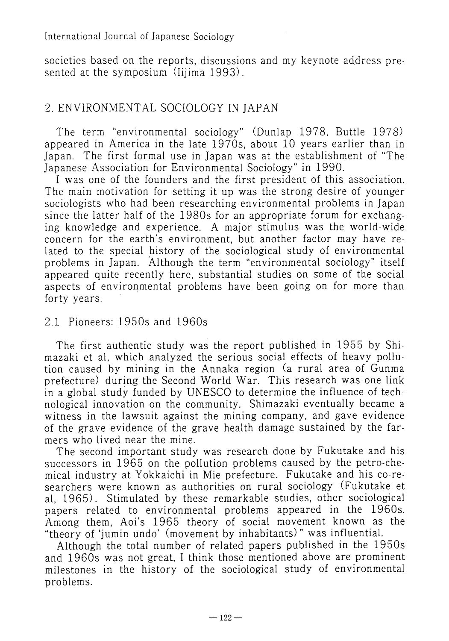#### International Journal of Japanese Sociology

societies based on the reports, discussions and my keynote address presented at the symposium (Iijima 1993).

# 2. ENVIRONMENTAL SOCIOLOGY IN JAPAN

The term "environmental sociology" (Dunlap 1978, Buttle 1978) appeared in America in the late  $1970s$ , about 10 years earlier than in Japan. The first formal use in Japan was at the establishment of "The Japanese Association for Environmental Sociology" in 1990.

I was one of the founders and the first president of this association. The main motivation for setting it up was the strong desire of younger sociologists who had been researching environmental problems in Japan since the latter half of the 1980s for an appropriate forum for exchanging knowledge and experience. A major stimulus was the world-wide concern for the earth's environment, but another factor may have related to the special history of the sociological study of environmental problems in Japan. Although the term "environmental sociology" itself appeared quite recently here, substantial studies on some of the social aspects of environmental problems have been going on for more than forty years.

## 2.1 Pioneers: 1950s and 1960s

The first authentic study was the report published in 1955 by Shimazaki et al, which analyzed the serious social effects of heavy pollution caused by mining in the Annaka region (a rural area of Gunma prefecture) during the Second World War. This research was one link in a global study funded by UNESCO to determine the influence of technological innovation on the community. Shimazaki eventually became a witness in the lawsuit against the mining company, and gave evidence of the grave evidence of the grave health damage sustained by the farmers who lived near the mine.

The second important study was research done by Fukutake and his successors in 1965 on the pollution problems caused by the petro-chemica1 industry at Yokkaichi in Mie prefecture. Fukutake and his co-researchers were known as authorities on rural sociology (Fukutake et al, 1965). Stimulated by these remarkable studies, other sociological papers related to environmental problems appeared in the 1960s. Among them, Aoi's 1965 theory of social movement known as the "theory of 'jumin undo' (movement by inhabitants) " was influential.

Although the total number of related papers published in the 1950s and 1960s was not great, I think those mentioned above are prominent milestones in the history of the sociological study of environmental problems.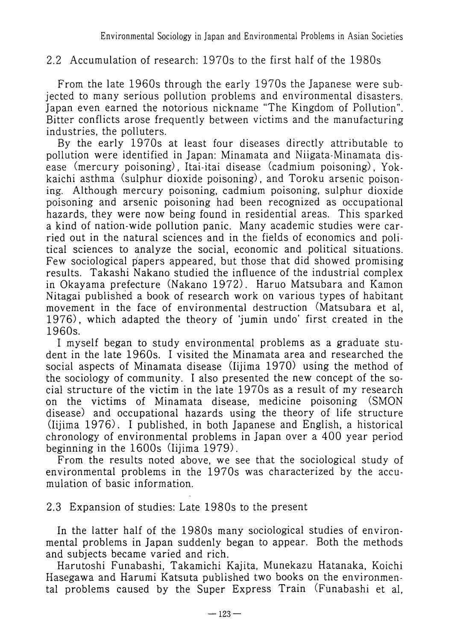# 2.2 Accumulation of research: 1970s to the first half of the 1980s

From the late 1960s through the early 1970s the Japanese were subjected to many serious pollution problems and environmental disasters. Japan even earned the notorious nickname "The Kingdom of Pollution". Bitter conflicts arose frequently between victims and the manufacturing industries, the polluters.

By the early 1970s at least four diseases directly attributable to pollution were identified in Japan: Minamata and Niigata-Minamata disease (mercury poisoning), Itai-itai disease (cadmium poisoning), Yokkaichi asthma (sulphur dioxide poisoning) , and Toroku arsenic poisoning. Although mercury poisoning, cadmium poisoning, sulphur dioxide poisoning and arsenic poisoning had been recognized as occupational hazards, they were now being found in residential areas. This sparked a kind of nation-wide pollution panic. Many academic studies were carried out in the natural sciences and in the fields of economics and political sciences to analyze the social, economic and political situations. Few sociological papers appeared, but those that did showed promising results. Takashi Nakano studied the influence of the industrial complex in Okayama prefecture (Nakano 1972). Haruo Matsubara and Kamon Nitagai published a book of research work on various types of habitant movement in the face of environmental destruction (Matsubara et al, 1976), which adapted the theory of 'jumin undo' first created in the 1960s.

I myself began to study environmental problems as a graduate student in the late 1960s. I visited the Minamata area and researched the social aspects of Minamata disease (Iijima 1970) using the method of the sociology of community. I also presented the new concept of the social structure of the victim in the late 1970s as a result of my research on the victims of Minamata disease, medicine poisoning (SMON disease) and occupational hazards using the theory of life structure (Iijima 1976). I published, in both Japanese and English, a historical chronology of environmental problems in Japan over a 400 year period beginning in the 1600s (Iijima 1979).

From the results noted above, we see that the sociological study of environmental problems in the 1970s was characterized by the accumulation of basic information.

2.3 Expansion of studies: Late 1980s to the present

In the latter half of the 1980s many sociological studies of environmental problems in Japan suddenly began to appear. Both the methods and subjects became varied and rich.

Harutoshi Funabashi, Takamichi Kajita, Munekazu Hatanaka, Koichi Hasegawa and Harumi Katsuta published two books on the environmental problems caused by the Super Express Train (Funabashi et al,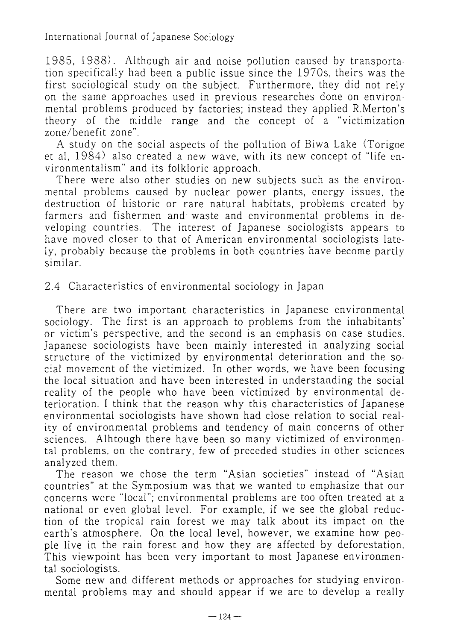1985, 1988). Although air and noise pollution caused by transportation specifically had been a public issue since the 197Os, theirs was the first sociological study on the subject. Furthermore, they did not rely on the same approaches used in previous researches done on environmental problems produced by factories; instead they applied R.Merton's theory of the middle range and the concept of a "victimization zone/benefit zone".

A study on the social aspects of the pollution of Biwa Lake (Torigoe et al, 1984) also created a new wave, with its new concept of "life environmentalism" and its folkloric approach.

There were also other studies on new subjects such as the environmental problems caused by nuclear power plants, energy issues, the destruction of historic or rare natural habitats, problems created by farmers and fishermen and waste and environmental problems in developing countries. The interest of Japanese sociologists appears to have moved closer to that of American environmental sociologists lately, probably because the problems in both countries have become partly similar.

## 2.4 Characteristics of environmental sociology in Japan

There are two important characteristics in Japanese environmental sociology. The first is an approach to problems from the inhabitants' or victim's perspective, and the second is an emphasis on case studies, Japanese sociologists have been mainly interested in analyzing social structure of the victimized by environmental deterioration and the social movement of the victimized. In other words, we have been focusing the local situation and have been interested in understanding the social reality of the people who have been victimized by environmental deterioration. I think that the reason why this characteristics of Japanese environmental sociologists have shown had close relation to social reality of environmental problems and tendency of main concerns of other sciences. Alhtough there have been so many victimized of environmental problems, on the contrary, few of preceded studies in other sciences analyzed them.

The reason we chose the term "Asian societies" instead of "Asian countries" at the Symposium was that we wanted to emphasize that our concerns were "local"; environmental problems are too often treated at a national or even global level. For example, if we see the global reduction of the tropical rain forest we may talk about its impact on the earth's atmosphere. On the local level, however, we examine how people live in the rain forest and how they are affected by deforestation. This viewpoint has been very important to most Japanese environmental sociologists.

Some new and different methods or approaches for studying environmental problems may and should appear if we are to develop a really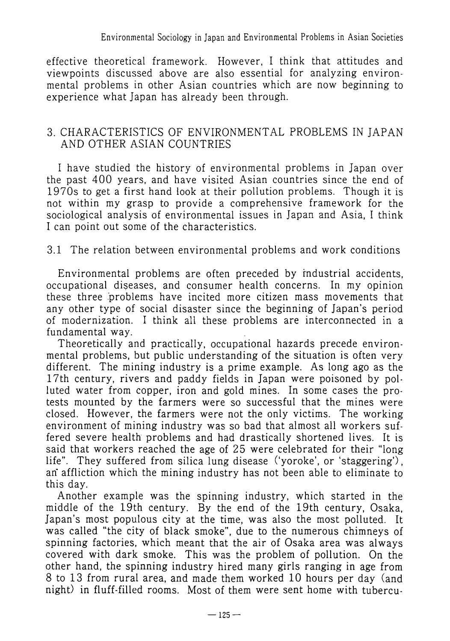effective theoretical framework. However, I think that attitudes and viewpoints discussed above are also essential for analyzing environmental problems in other Asian countries which are now beginning to experience what Japan has already been through.

#### 3. CHARACTERISTICS OF ENVIRONMENTAL PROBLEMS IN JAPAN AND OTHER ASIAN COUNTRIES

I have studied the history of environmental problems in Japan over the past 400 years, and have visited Asian countries since the end of 1970s to get a first hand look at their pollution problems. Though it is not within my grasp to provide a comprehensive framework for the sociological analysis of environmental issues in Japan and Asia, I think I can point out some of the characteristics.

## 3.1 The relation between environmental problems and work conditions

Environmental problems are often preceded by industrial accidents, occupational diseases, and consumer health concerns. In my opinion these three problems have incited more citizen mass movements that any other type of social disaster since the beginning of Japan's period of modernization. I think all these problems are interconnected in a fundamental way.

Theoretically and practically, occupational hazards precede environmental problems, but public understanding of the situation is often very different. The mining industry is a prime example. As long ago as the 17th century, rivers and paddy fields in Japan were poisoned by polluted water from copper, iron and gold mines. In some cases the protests mounted by the farmers were so successful that the mines were closed. However, the farmers were not the only victims. The working environment of mining industry was so bad that almost all workers suffered severe health problems and had drastically shortened lives. It is said that workers reached the age of 25 were celebrated for their "long life". They suffered from silica lung disease ('yoroke', or 'staggering') , an' affliction which the mining industry has not been able to eliminate to this day.

Another example was the spinning industry, which started in the middle of the 19th century. By the end of the 19th century, Osaka, Japan's most populous city at the time, was also the most polluted. It was called "the city of black smoke", due to the numerous chimneys of spinning factories, which meant that the air of Osaka area was always covered with dark smoke. This was the problem of pollution. On the other hand, the spinning industry hired many girls ranging in age from 8 to 13 from rural area, and made them worked 10 hours per day (and night) in fluff-filled rooms. Most of them were sent home with tubercu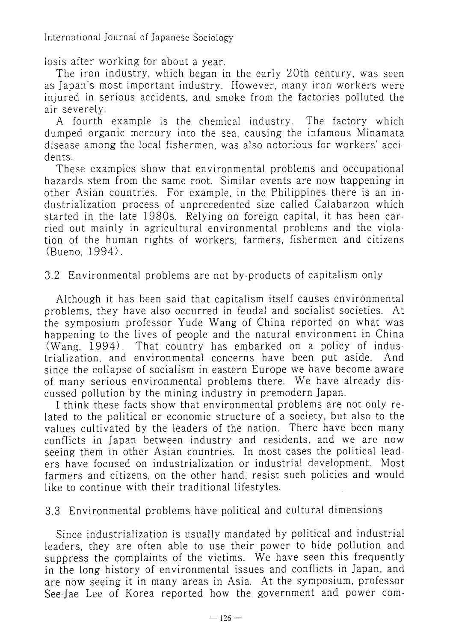International Journal of Japanese Sociology

losis after working for about a year.

The iron industry, which began in the early 20th century, was seen as Japan's most important industry. However, many iron workers were injured in serious accidents, and smoke from the factories polluted the air severely.

A fourth example is the chemical industry. The factory which dumped organic mercury into the sea, causing the infamous Minamata disease among the local fishermen, was also notorious for workers' accidents.

These examples show that environmental problems and occupational hazards stem from the same root. Similar events are now happening in other Asian countries. For example, in the Philippines there is an industrialization process of unprecedented size called Calabarzon which started in the late 1980s. Relying on foreign capital, it has been carried out mainly in agricultural environmental problems and the violation of the human rights of workers, farmers, fishermen and citizens (Bueno. 1994).

3.2 Environmental problems are not by-products of capitalism only

Although it has been said that capitalism itself causes environmental problems, they have also occurred in feudal and socialist societies. At the symposium professor Yude Wang of China reported on what was happening to the lives of people and the natural environment in China (Wang, 1994). That country has embarked on a policy of industrialization, and environmental concerns have been put aside. And since the collapse of socialism in eastern Europe we have become aware of many serious environmental problems there. We have already discussed pollution by the mining industry in premodern Japan.

I think these facts show that environmental problems are not only related to the political or economic structure of a society, but also to the values cultivated by the leaders of the nation. There have been many conflicts in Japan between industry and residents, and we are now seeing them in other Asian countries. In most cases the political leaders have focused on industrialization or industrial development. Most farmers and citizens, on the other hand, resist such policies and would like to continue with their traditional lifestyles.

3.3 Environmental problems have political and cultural dimensions

Since industrialization is usually mandated by political and industrial leaders, they are often able to use their power to hide pollution and suppress the complaints of the victims. We have seen this frequently in the long history of environmental issues and conflicts in Japan, and are now seeing it in many areas in Asia. At the symposium, professor See-Jae Lee of Korea reported how the government and power com-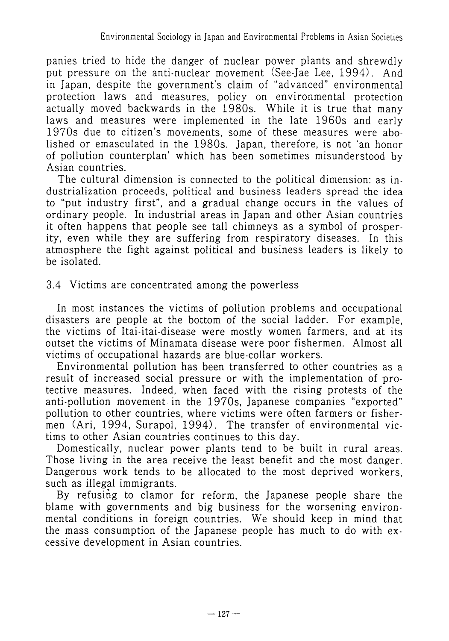panies tried to hide the danger of nuclear power plants and shrewdly put pressure on the anti-nuclear movement (See-Jae Lee, 1994). And in Japan, despite the government's claim of "advanced" environmental protection laws and measures, policy on environmental protection actually moved backwards in the 1980s. While it is true that many laws and measures were implemented in the late 1960s and early 1970s due to citizen's movements, some of these measures were abolished or emasculated in the 1980s. Japan, therefore, is not 'an honor of pollution counterplan' which has been sometimes misunderstood by Asian countries.

The cultural dimension is connected to the political dimension: as industrialization proceeds, political and business leaders spread the idea to "put industry first", and a gradual change occurs in the values of ordinary people. In industrial areas in Japan and other Asian countries it often happens that people see tall chimneys as a symbol of prosperity, even while they are suffering from respiratory diseases. In this atmosphere the fight against political and business leaders is likely to be isolated.

## 3.4 Victims are concentrated among the powerless

In most instances the victims of pollution problems and occupational disasters are people at the bottom of the social ladder. For example, the victims of Itai-itai-disease were mostly women farmers, and at its outset the victims of Minamata disease were poor fishermen. Almost all victims of occupational hazards are blue-collar workers.

Environmental pollution has been transferred to other countries as a result of increased social pressure or with the implementation of protective measures. Indeed, when faced with the rising protests of the anti-pollution movement in the 1970s, Japanese companies "exported" pollution to other countries, where victims were often farmers or fishermen (Ari, 1994, Surapol, 1994). The transfer of environmental victims to other Asian countries continues to this day.

Domestically, nuclear power plants tend to be built in rural areas. Those living in the area receive the least benefit and the most danger. Dangerous work tends to be allocated to the most deprived workers, such as illegal immigrants.

By refusing to clamor for reform, the Japanese people share the blame with governments and big business for the worsening environmental conditions in foreign countries. We should keep in mind that the mass consumption of the Japanese people has much to do with excessive development in Asian countries.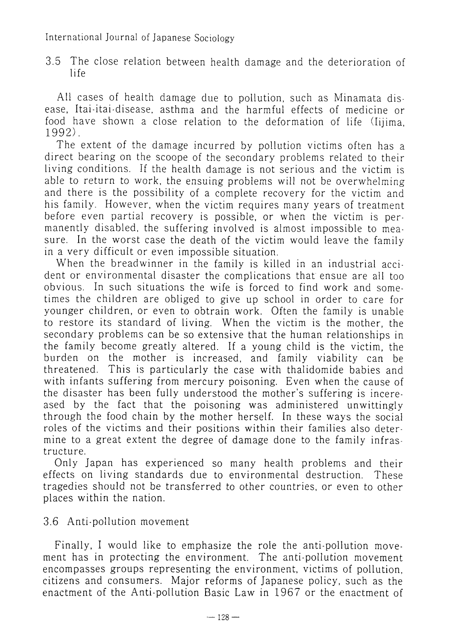3.5 The close relation between health damage and the deterioration of life

All cases of health damage due to pollution, such as Minamata disease, Itai-itai-disease, asthma and the harmful effects of medicine or food have shown a close relation to the deformation of life (Iijima, 1992).

The extent of the damage incurred by pollution victims often has a direct bearing on the scoope of the secondary problems related to their living conditions. If the health damage is not serious and the victim is able to return to work, the ensuing problems will not be overwhelming and there is the possibility of a complete recovery for the victim and his family. However, when the victim requires many years of treatment before even partial recovery is possible, or when the victim is permanently disabled, the suffering involved is almost impossible to measure. In the worst case the death of the victim would leave the family in a very difficult or even impossible situation.

When the breadwinner in the family is killed in an industrial accident or environmental disaster the complications that ensue are all too obvious. In such situations the wife is forced to find work and sometimes the children are obliged to give up school in order to care for younger children, or even to obtrain work. Often the family is unable to restore its standard of living. When the victim is the mother, the secondary problems can be so extensive that the human relationships in the family become greatly altered. If a young child is the victim, the burden on the mother is increased, and family viability can be threatened. This is particularly the case with thalidomide babies and with infants suffering from mercury poisoning. Even when the cause of the disaster has been fully understood the mother's suffering is incereased by the fact that the poisoning was administered unwittingly through the food chain by the mother herself. In these ways the social roles of the victims and their positions within their families also determine to a great extent the degree of damage done to the family infrastructure.

Only Japan has experienced so many health problems and their effects on living standards due to environmental destruction. These tragedies should not be transferred to other countries, or even to other places within the nation.

3.6 Anti-pollution movement

Finally, I would like to emphasize the role the anti-pollution movement has in protecting the environment. The anti-pollution movement encompasses groups representing the environment, victims of pollution, citizens and consumers. Major reforms of Japanese policy, such as the enactment of the Anti-pollution Basic Law in 1967 or the enactment of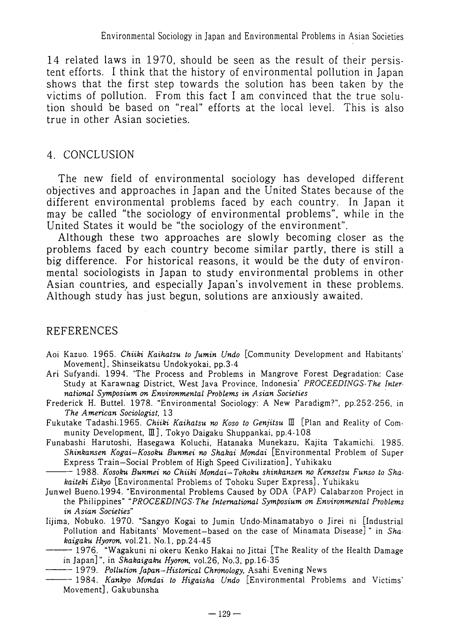14 related laws in 1970, should be seen as the result of their persistent efforts. I think that the history of environmental pollution in Japan shows that the first step towards the solution has been taken by the victims of pollution. From this fact I am convinced that the true solution should be based on "real" efforts at the local level. This is also true in other Asian societies.

## 4. CONCLUSION

The new field of environmental sociology has developed different objectives and approaches in Japan and the United States because of the different environmental problems faced by each country. In Japan it may be called "the sociology of environmental problems", while in the United States it would be "the sociology of the environment".

Although these two approaches are slowly becoming closer as the problems faced by each country become similar partly, there is still a big difference. For historical reasons, it would be the duty of environmental sociologists in Japan to study environmental problems in other Asian countries, and especially Japan's involvement in these problems. Although study 'has just begun, solutions are anxiously awaited.

# REFERENCES

- Aoi Kazuo. 1965. *Chiiki Kaihatsu to Jumin Undo* [Community Development and Habitants' Movement], Shinseikatsu Undokyokai, pp.3-4
- Ari Sufyandi. 1994. 'The Process and Problems in Mangrove Forest Degradation: Case Study at Karawnag District, West Java Province, Indonesia' *PROCEEDINGS-The International Symposium on Environmental Problems in Asian Societies*
- Frederick H. Buttel. 1978. "Environmental Sociology: **A** New Paradigm?", pp.252-256. in *The American Sociologist,* 13
- Fukutake Tadashi.1965. *Chiiki Kaihatsu no Koso to Genjitsu* III [Plan and Reality of Community Development, III], Tokyo Daigaku Shuppankai, pp.4-108
- Funabashi Harutoshi. Hasegawa Koluchi, Hatanaka Munekazu. Kajita Takamichi. 1985. *Shankansen Kogai-Kosoku Bunmei no Shakai Mondai* [Environmental Problem of Super Express Train-Social Problem of High Speed Civilization], Yuhikaku
- 1988. *Kosoku Bunmei no Chiiki Mondai-Tohoku shinkansen no Kensetsu Funso to Shakaiteki Eikyo* [Environmental Problems of Tohoku Super Express], Yuhikaku
- Junwel Bueno.1994. "Environmental Problems Caused by ODA (PAP) Calabarzon Project in the Philippines" *"PROCEEDINGS- The International Symposium on Environmental Problems in Asian Societies"*
- Iijima. Nobuko. 1970. "Sangyo Kogai to Jumin Undo-Minamatabyo o Jirei ni [Industrial Pollution and Habitants' Movement-based on the case of Minamata Disease] " in *Shakaigaku Hyoron,* v01.21. No.1, pp.24-45
- 1976. "Wagakuni ni okeru Kenko Hakai no Jittai [The Reality of the Health Damage in Japan]", in *Shakaigaku Hyoron,* vo1.26, No.3, pp.16-35
	- 1979. *Pollution Japan-Historical Chronology,* Asahi Evening News
- 1984. *Kankyo Mondai to Higaisha Undo* [Environmental Problems and Victims' Movement], Gakubunsha